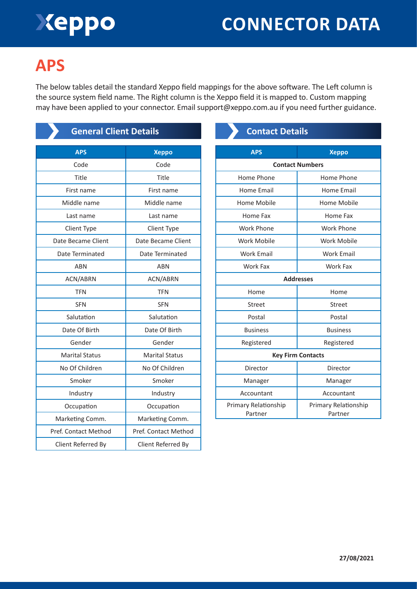# Xeppo

## **CONNECTOR DATA**

## **APS**

The below tables detail the standard Xeppo field mappings for the above software. The Left column is the source system field name. The Right column is the Xeppo field it is mapped to. Custom mapping may have been applied to your connector. Email support@xeppo.com.au if you need further guidance.

| <b>General Client Details</b> |                       |
|-------------------------------|-----------------------|
| <b>APS</b>                    | <b>Xeppo</b>          |
| Code                          | Code                  |
| Title                         | Title                 |
| First name                    | First name            |
| Middle name                   | Middle name           |
| Last name                     | Last name             |
| Client Type                   | <b>Client Type</b>    |
| Date Became Client            | Date Became Client    |
| Date Terminated               | Date Terminated       |
| ARN                           | ABN                   |
| ACN/ABRN                      | <b>ACN/ABRN</b>       |
| <b>TFN</b>                    | <b>TFN</b>            |
| <b>SFN</b>                    | <b>SFN</b>            |
| Salutation                    | Salutation            |
| Date Of Birth                 | Date Of Birth         |
| Gender                        | Gender                |
| <b>Marital Status</b>         | <b>Marital Status</b> |
| No Of Children                | No Of Children        |
| Smoker                        | Smoker                |
| Industry                      | Industry              |
| Occupation                    | Occupation            |
| Marketing Comm.               | Marketing Comm.       |
| Pref. Contact Method          | Pref. Contact Method  |
| Client Referred By            | Client Referred By    |

### **Contact Details**

| <b>APS</b>                      | <b>Xeppo</b>                    |  |
|---------------------------------|---------------------------------|--|
| <b>Contact Numbers</b>          |                                 |  |
| Home Phone                      | Home Phone                      |  |
| Home Fmail                      | <b>Home Email</b>               |  |
| Home Mobile                     | Home Mobile                     |  |
| Home Fax                        | Home Fax                        |  |
| Work Phone                      | Work Phone                      |  |
| Work Mobile                     | Work Mobile                     |  |
| <b>Work Email</b>               | <b>Work Email</b>               |  |
| Work Fax                        | Work Fax                        |  |
| <b>Addresses</b>                |                                 |  |
| Home                            | Home                            |  |
| Street                          | Street                          |  |
| Postal                          | Postal                          |  |
| <b>Business</b>                 | <b>Business</b>                 |  |
| Registered                      | Registered                      |  |
| <b>Key Firm Contacts</b>        |                                 |  |
| Director                        | Director                        |  |
| Manager                         | Manager                         |  |
| Accountant                      | Accountant                      |  |
| Primary Relationship<br>Partner | Primary Relationship<br>Partner |  |